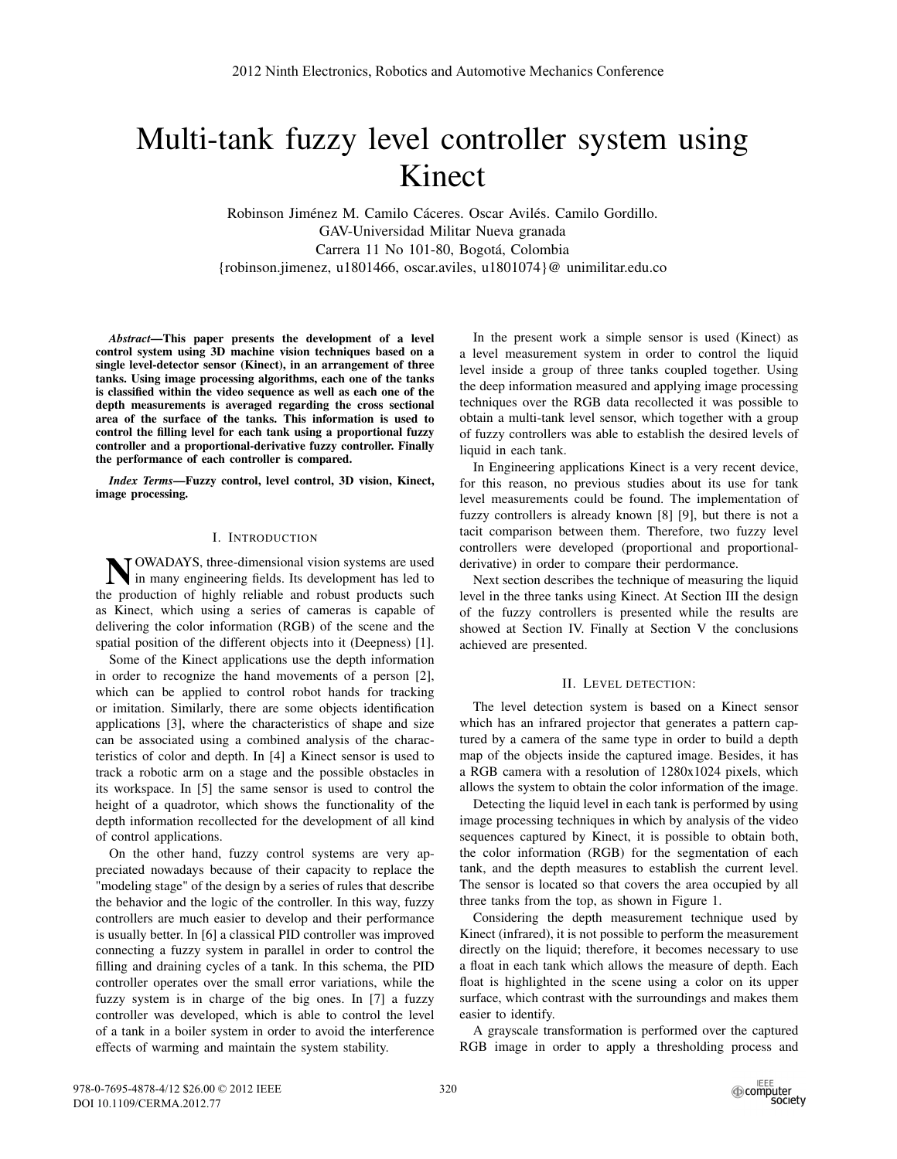# Multi-tank fuzzy level controller system using Kinect

Robinson Jiménez M. Camilo Cáceres. Oscar Avilés. Camilo Gordillo. GAV-Universidad Militar Nueva granada Carrera 11 No 101-80, Bogotá, Colombia {robinson.jimenez, u1801466, oscar.aviles, u1801074}@ unimilitar.edu.co

*Abstract*—This paper presents the development of a level control system using 3D machine vision techniques based on a single level-detector sensor (Kinect), in an arrangement of three tanks. Using image processing algorithms, each one of the tanks is classified within the video sequence as well as each one of the depth measurements is averaged regarding the cross sectional area of the surface of the tanks. This information is used to control the filling level for each tank using a proportional fuzzy controller and a proportional-derivative fuzzy controller. Finally the performance of each controller is compared.

*Index Terms*—Fuzzy control, level control, 3D vision, Kinect, image processing.

# I. INTRODUCTION

**NOWADAYS**, three-dimensional vision systems are used<br>in many engineering fields. Its development has led to the production of highly reliable and robust products such as Kinect, which using a series of cameras is capable of delivering the color information (RGB) of the scene and the spatial position of the different objects into it (Deepness) [1].

Some of the Kinect applications use the depth information in order to recognize the hand movements of a person [2], which can be applied to control robot hands for tracking or imitation. Similarly, there are some objects identification applications [3], where the characteristics of shape and size can be associated using a combined analysis of the characteristics of color and depth. In [4] a Kinect sensor is used to track a robotic arm on a stage and the possible obstacles in its workspace. In [5] the same sensor is used to control the height of a quadrotor, which shows the functionality of the depth information recollected for the development of all kind of control applications.

On the other hand, fuzzy control systems are very appreciated nowadays because of their capacity to replace the "modeling stage" of the design by a series of rules that describe the behavior and the logic of the controller. In this way, fuzzy controllers are much easier to develop and their performance is usually better. In [6] a classical PID controller was improved connecting a fuzzy system in parallel in order to control the filling and draining cycles of a tank. In this schema, the PID controller operates over the small error variations, while the fuzzy system is in charge of the big ones. In [7] a fuzzy controller was developed, which is able to control the level of a tank in a boiler system in order to avoid the interference effects of warming and maintain the system stability.

In the present work a simple sensor is used (Kinect) as a level measurement system in order to control the liquid level inside a group of three tanks coupled together. Using the deep information measured and applying image processing techniques over the RGB data recollected it was possible to obtain a multi-tank level sensor, which together with a group of fuzzy controllers was able to establish the desired levels of liquid in each tank.

In Engineering applications Kinect is a very recent device, for this reason, no previous studies about its use for tank level measurements could be found. The implementation of fuzzy controllers is already known [8] [9], but there is not a tacit comparison between them. Therefore, two fuzzy level controllers were developed (proportional and proportionalderivative) in order to compare their perdormance.

Next section describes the technique of measuring the liquid level in the three tanks using Kinect. At Section III the design of the fuzzy controllers is presented while the results are showed at Section IV. Finally at Section V the conclusions achieved are presented.

# II. LEVEL DETECTION:

The level detection system is based on a Kinect sensor which has an infrared projector that generates a pattern captured by a camera of the same type in order to build a depth map of the objects inside the captured image. Besides, it has a RGB camera with a resolution of 1280x1024 pixels, which allows the system to obtain the color information of the image.

Detecting the liquid level in each tank is performed by using image processing techniques in which by analysis of the video sequences captured by Kinect, it is possible to obtain both, the color information (RGB) for the segmentation of each tank, and the depth measures to establish the current level. The sensor is located so that covers the area occupied by all three tanks from the top, as shown in Figure 1.

Considering the depth measurement technique used by Kinect (infrared), it is not possible to perform the measurement directly on the liquid; therefore, it becomes necessary to use a float in each tank which allows the measure of depth. Each float is highlighted in the scene using a color on its upper surface, which contrast with the surroundings and makes them easier to identify.

A grayscale transformation is performed over the captured RGB image in order to apply a thresholding process and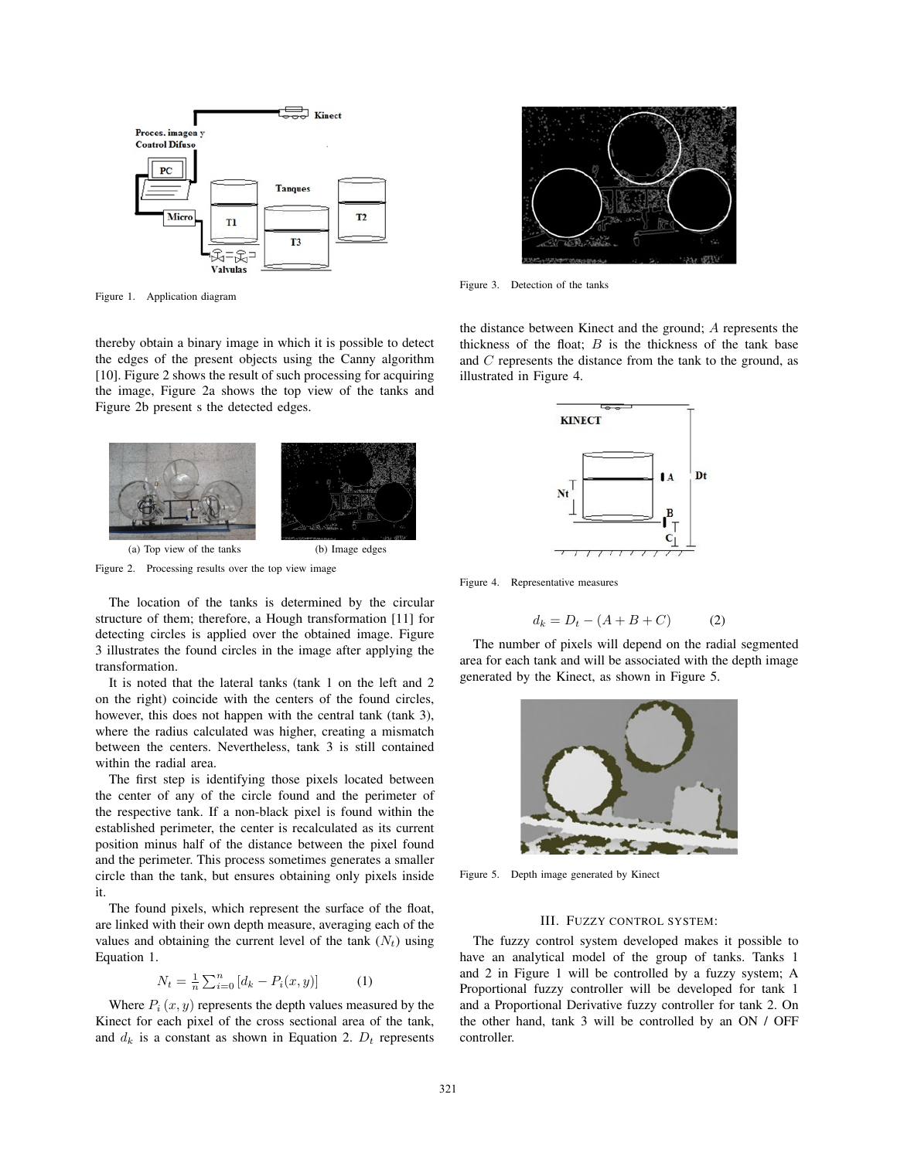

Figure 1. Application diagram

thereby obtain a binary image in which it is possible to detect the edges of the present objects using the Canny algorithm [10]. Figure 2 shows the result of such processing for acquiring the image, Figure 2a shows the top view of the tanks and Figure 2b present s the detected edges.



Figure 2. Processing results over the top view image

The location of the tanks is determined by the circular structure of them; therefore, a Hough transformation [11] for detecting circles is applied over the obtained image. Figure 3 illustrates the found circles in the image after applying the transformation.

It is noted that the lateral tanks (tank 1 on the left and 2 on the right) coincide with the centers of the found circles, however, this does not happen with the central tank (tank 3), where the radius calculated was higher, creating a mismatch between the centers. Nevertheless, tank 3 is still contained within the radial area.

The first step is identifying those pixels located between the center of any of the circle found and the perimeter of the respective tank. If a non-black pixel is found within the established perimeter, the center is recalculated as its current position minus half of the distance between the pixel found and the perimeter. This process sometimes generates a smaller circle than the tank, but ensures obtaining only pixels inside it.

The found pixels, which represent the surface of the float, are linked with their own depth measure, averaging each of the values and obtaining the current level of the tank  $(N_t)$  using Equation 1.

$$
N_t = \frac{1}{n} \sum_{i=0}^{n} [d_k - P_i(x, y)] \tag{1}
$$

Where  $P_i(x, y)$  represents the depth values measured by the Kinect for each pixel of the cross sectional area of the tank, and  $d_k$  is a constant as shown in Equation 2.  $D_t$  represents



Figure 3. Detection of the tanks

the distance between Kinect and the ground; A represents the thickness of the float;  $B$  is the thickness of the tank base and  $C$  represents the distance from the tank to the ground, as illustrated in Figure 4.



Figure 4. Representative measures

$$
d_k = D_t - (A + B + C) \tag{2}
$$

The number of pixels will depend on the radial segmented area for each tank and will be associated with the depth image generated by the Kinect, as shown in Figure 5.



Figure 5. Depth image generated by Kinect

## III. FUZZY CONTROL SYSTEM:

The fuzzy control system developed makes it possible to have an analytical model of the group of tanks. Tanks 1 and 2 in Figure 1 will be controlled by a fuzzy system; A Proportional fuzzy controller will be developed for tank 1 and a Proportional Derivative fuzzy controller for tank 2. On the other hand, tank 3 will be controlled by an ON / OFF controller.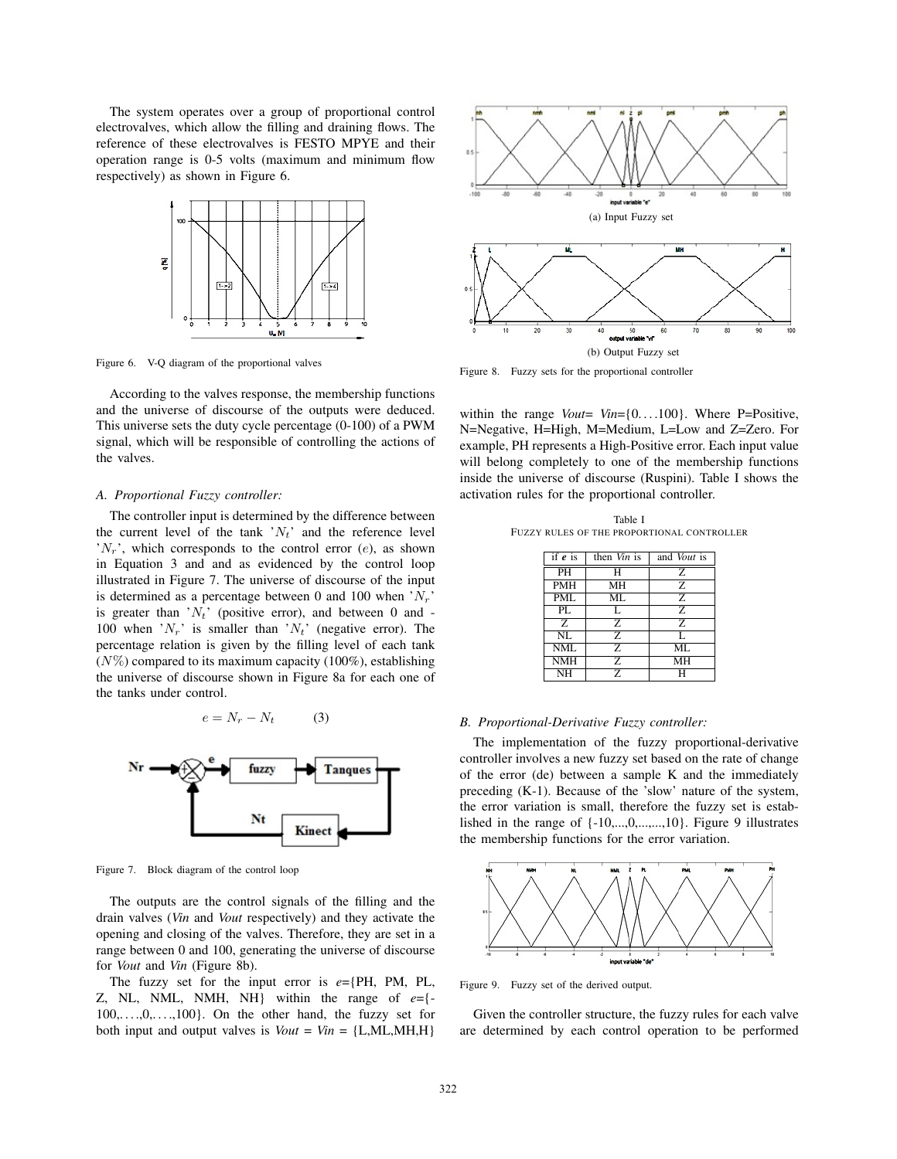The system operates over a group of proportional control electrovalves, which allow the filling and draining flows. The reference of these electrovalves is FESTO MPYE and their operation range is 0-5 volts (maximum and minimum flow respectively) as shown in Figure 6.



Figure 6. V-Q diagram of the proportional valves

According to the valves response, the membership functions and the universe of discourse of the outputs were deduced. This universe sets the duty cycle percentage (0-100) of a PWM signal, which will be responsible of controlling the actions of the valves.

#### *A. Proportional Fuzzy controller:*

The controller input is determined by the difference between the current level of the tank  $'N_t'$  and the reference level  $N_r$ , which corresponds to the control error (e), as shown in Equation 3 and and as evidenced by the control loop illustrated in Figure 7. The universe of discourse of the input is determined as a percentage between 0 and 100 when  $N_r$ . is greater than  $N_t$ <sup>'</sup> (positive error), and between 0 and -100 when  $N_r$  is smaller than  $N_t$  (negative error). The percentage relation is given by the filling level of each tank  $(N\%)$  compared to its maximum capacity (100%), establishing the universe of discourse shown in Figure 8a for each one of the tanks under control.



Figure 7. Block diagram of the control loop

The outputs are the control signals of the filling and the drain valves (*Vin* and *Vout* respectively) and they activate the opening and closing of the valves. Therefore, they are set in a range between 0 and 100, generating the universe of discourse for *Vout* and *Vin* (Figure 8b).

The fuzzy set for the input error is  $e = {PH, PM, PL}$ , Z, NL, NML, NMH, NH} within the range of *e*={-  $100, \ldots, 0, \ldots, 100$ . On the other hand, the fuzzy set for both input and output valves is  $Vout = Vin = \{L, ML, MH, H\}$ 



Figure 8. Fuzzy sets for the proportional controller

within the range *Vout*= *Vin*={0...,100}. Where P=Positive, N=Negative, H=High, M=Medium, L=Low and Z=Zero. For example, PH represents a High-Positive error. Each input value will belong completely to one of the membership functions inside the universe of discourse (Ruspini). Table I shows the activation rules for the proportional controller.

Table I FUZZY RULES OF THE PROPORTIONAL CONTROLLER

| if $e$ is  | then Vin is | and <i>Vout</i> is |  |  |  |
|------------|-------------|--------------------|--|--|--|
| PH         | н           | Z                  |  |  |  |
| <b>PMH</b> | MН          | Z                  |  |  |  |
| <b>PML</b> | ML          | Z                  |  |  |  |
| PL         | L           | 7.                 |  |  |  |
| Z          | Ζ           | Z                  |  |  |  |
| NL         | 7.          | L                  |  |  |  |
| <b>NML</b> | Ζ           | ML                 |  |  |  |
| <b>NMH</b> | 7.          | MН                 |  |  |  |
| NH         | Z           | н                  |  |  |  |

## *B. Proportional-Derivative Fuzzy controller:*

The implementation of the fuzzy proportional-derivative controller involves a new fuzzy set based on the rate of change of the error (de) between a sample K and the immediately preceding (K-1). Because of the 'slow' nature of the system, the error variation is small, therefore the fuzzy set is established in the range of  $\{-10,...,0,...,10\}$ . Figure 9 illustrates the membership functions for the error variation.



Figure 9. Fuzzy set of the derived output.

Given the controller structure, the fuzzy rules for each valve are determined by each control operation to be performed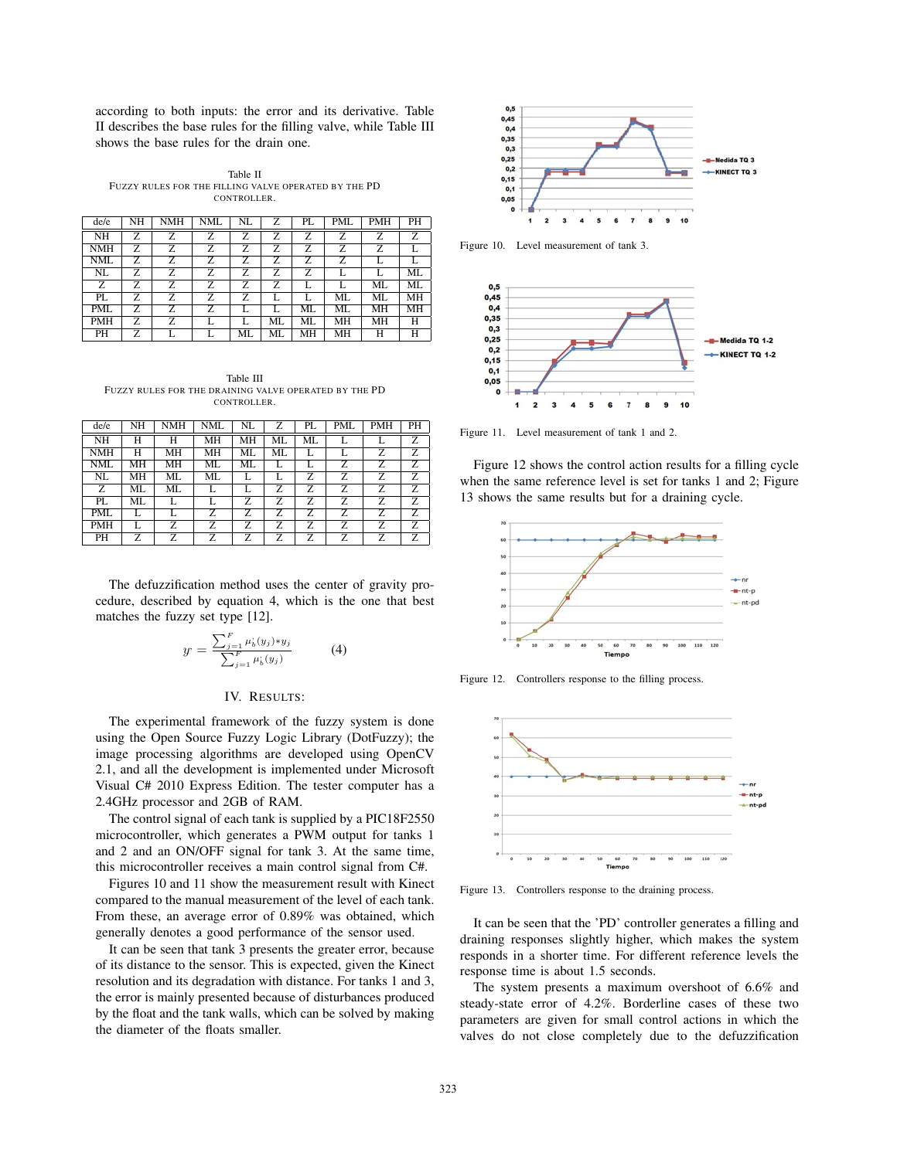according to both inputs: the error and its derivative. Table II describes the base rules for the filling valve, while Table III shows the base rules for the drain one.

Table II FUZZY RULES FOR THE FILLING VALVE OPERATED BY THE PD CONTROLLER.

| de/e       | NH | NMH | NML | NL | Z  | PL | PML | PMH | PН                    |
|------------|----|-----|-----|----|----|----|-----|-----|-----------------------|
| NH         | Z  | Z   | Z   | 7. | z  | 7. | Z   | Z   | $\overline{\text{z}}$ |
| <b>NMH</b> | Z  | z   | Z   | Z  | Z  | Z  | Z   | Z   |                       |
| <b>NML</b> | Z  | Z   | Z   | 7. | z  | 7. | Z   | L   |                       |
| NL         | Ζ  | Z   | Ζ   | Z  | Ζ  | Z  |     |     | МL                    |
| Z          | Ζ  | Z   | Z   | Z  | Z  |    |     | ML  | МL                    |
| PL         | Ζ  | Z   | Z   | Z  |    |    | ML  | ML  | MН                    |
| <b>PML</b> | Ζ  | Z   | Z   |    |    | МL | ML  | MН  | MH                    |
| <b>PMH</b> | Z  | Ż.  |     |    | МL | МL | MН  | MН  | Н                     |
| PH         | z  |     |     | ML | ML | MH | MН  | Н   | н                     |

Table III FUZZY RULES FOR THE DRAINING VALVE OPERATED BY THE PD CONTROLLER.

| de/e           | NH | <b>NMH</b> | <b>NML</b> | NL | Z  | PL                    | PML | <b>PMH</b> | PН                    |
|----------------|----|------------|------------|----|----|-----------------------|-----|------------|-----------------------|
| <b>NH</b>      | н  | Н          | MН         | MH | ML | ML                    |     |            | Z                     |
| <b>NMH</b>     | н  | MН         | MН         | МL | ML |                       |     | Z          | Z                     |
| NML            | MН | MН         | ML         | ML |    |                       | Z   | Z          | Z                     |
| NL             | MН | ML         | ML         | L  | L  | Z                     | z   | Z          | $\overline{\text{z}}$ |
| $\overline{z}$ | ML | ML         | L          | L  | Z  | $\overline{\text{z}}$ | 7.  | 7.         | $\overline{\text{z}}$ |
| PL             | ML | L          | L          | Z  | Z. | Z                     | Z   | Z          | Z                     |
| <b>PML</b>     | L  |            | Z          | z  | Z  | Z                     | Z   | Z          | Z                     |
| <b>PMH</b>     |    | Ζ          | Z          | Z  | Z  | Z                     | Z   | Z          | Z                     |
| PH             | Z  | Z          | Z          | Z  | Z  | Z                     | Z   | Z          | Z                     |

The defuzzification method uses the center of gravity procedure, described by equation 4, which is the one that best matches the fuzzy set type [12].

$$
y = \frac{\sum_{j=1}^{F} \mu_b^*(y_j) * y_j}{\sum_{j=1}^{F} \mu_b^*(y_j)}
$$
(4)

## IV. RESULTS:

The experimental framework of the fuzzy system is done using the Open Source Fuzzy Logic Library (DotFuzzy); the image processing algorithms are developed using OpenCV 2.1, and all the development is implemented under Microsoft Visual C# 2010 Express Edition. The tester computer has a 2.4GHz processor and 2GB of RAM.

The control signal of each tank is supplied by a PIC18F2550 microcontroller, which generates a PWM output for tanks 1 and 2 and an ON/OFF signal for tank 3. At the same time, this microcontroller receives a main control signal from C#.

Figures 10 and 11 show the measurement result with Kinect compared to the manual measurement of the level of each tank. From these, an average error of 0.89% was obtained, which generally denotes a good performance of the sensor used.

It can be seen that tank 3 presents the greater error, because of its distance to the sensor. This is expected, given the Kinect resolution and its degradation with distance. For tanks 1 and 3, the error is mainly presented because of disturbances produced by the float and the tank walls, which can be solved by making the diameter of the floats smaller.



Figure 10. Level measurement of tank 3.



Figure 11. Level measurement of tank 1 and 2.

Figure 12 shows the control action results for a filling cycle when the same reference level is set for tanks 1 and 2; Figure 13 shows the same results but for a draining cycle.



Figure 12. Controllers response to the filling process.



Figure 13. Controllers response to the draining process.

It can be seen that the 'PD' controller generates a filling and draining responses slightly higher, which makes the system responds in a shorter time. For different reference levels the response time is about 1.5 seconds.

The system presents a maximum overshoot of 6.6% and steady-state error of 4.2%. Borderline cases of these two parameters are given for small control actions in which the valves do not close completely due to the defuzzification